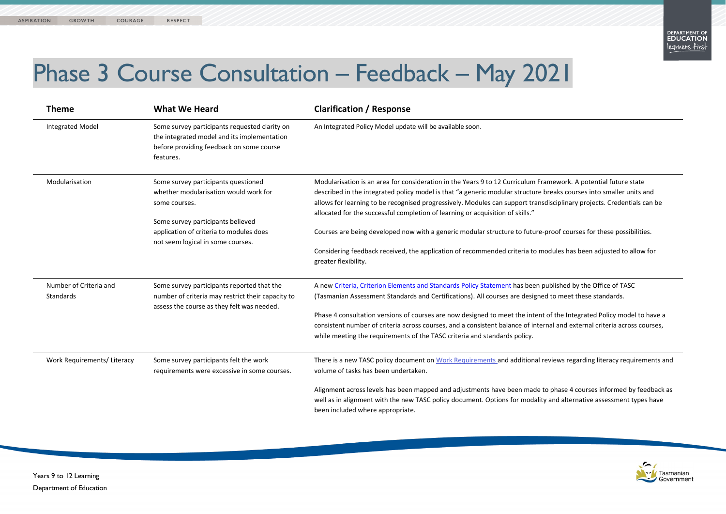



mework. A potential future state reaks courses into smaller units and lisciplinary projects. Credentials can be

roof courses for these possibilities.

dules has been adjusted to allow for

ablished by the Office of TASC to meet these standards.

of the Integrated Policy model to have a al and external criteria across courses, and a consistent balance of internal and external criteria across courses

views regarding literacy requirements and

phase 4 courses informed by feedback as and alternative assessment types have



## Phase 3 Course Consultation – Feedback – May 2021

| <b>Theme</b>                        | <b>What We Heard</b>                                                                                                                                  | <b>Clarification / Response</b>                                                                                                                                                                                                                                                                                                           |
|-------------------------------------|-------------------------------------------------------------------------------------------------------------------------------------------------------|-------------------------------------------------------------------------------------------------------------------------------------------------------------------------------------------------------------------------------------------------------------------------------------------------------------------------------------------|
| <b>Integrated Model</b>             | Some survey participants requested clarity on<br>the integrated model and its implementation<br>before providing feedback on some course<br>features. | An Integrated Policy Model update will be available soon.                                                                                                                                                                                                                                                                                 |
| Modularisation                      | Some survey participants questioned<br>whether modularisation would work for<br>some courses.<br>Some survey participants believed                    | Modularisation is an area for consideration in the Years 9 to 12 Curriculum Fran<br>described in the integrated policy model is that "a generic modular structure br<br>allows for learning to be recognised progressively. Modules can support transdi<br>allocated for the successful completion of learning or acquisition of skills." |
|                                     | application of criteria to modules does<br>not seem logical in some courses.                                                                          | Courses are being developed now with a generic modular structure to future-po<br>Considering feedback received, the application of recommended criteria to mo<br>greater flexibility.                                                                                                                                                     |
| Number of Criteria and<br>Standards | Some survey participants reported that the<br>number of criteria may restrict their capacity to<br>assess the course as they felt was needed.         | A new Criteria, Criterion Elements and Standards Policy Statement has been pu<br>(Tasmanian Assessment Standards and Certifications). All courses are designed                                                                                                                                                                            |
|                                     |                                                                                                                                                       | Phase 4 consultation versions of courses are now designed to meet the intent of<br>consistent number of criteria across courses, and a consistent balance of intern<br>while meeting the requirements of the TASC criteria and standards policy.                                                                                          |
| Work Requirements/ Literacy         | Some survey participants felt the work<br>requirements were excessive in some courses.                                                                | There is a new TASC policy document on Work Requirements and additional rev<br>volume of tasks has been undertaken.                                                                                                                                                                                                                       |
|                                     |                                                                                                                                                       | Alignment across levels has been mapped and adjustments have been made to<br>well as in alignment with the new TASC policy document. Options for modality a<br>been included where appropriate.                                                                                                                                           |